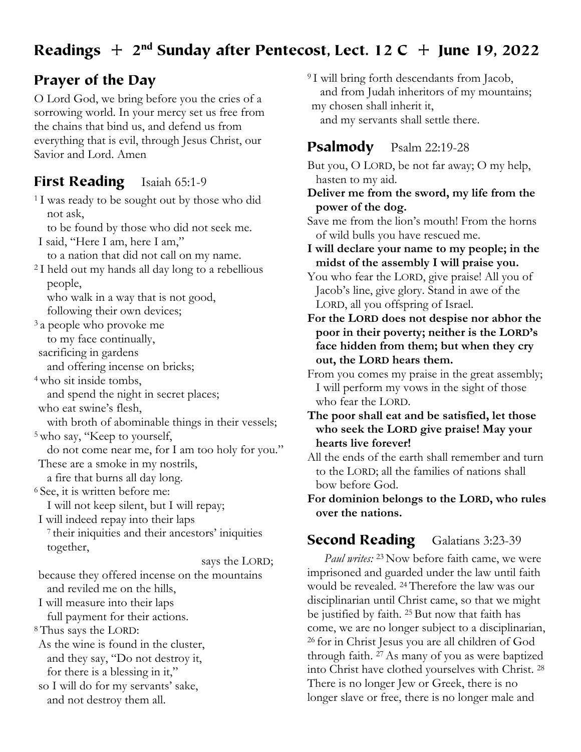# Readings  $+ 2<sup>nd</sup>$  Sunday after Pentecost, Lect. 12 C  $+$  June 19, 2022

## Prayer of the Day

O Lord God, we bring before you the cries of a sorrowing world. In your mercy set us free from the chains that bind us, and defend us from everything that is evil, through Jesus Christ, our Savior and Lord. Amen

#### First Reading Isaiah 65:1-9

<sup>1</sup>I was ready to be sought out by those who did not ask, to be found by those who did not seek me. I said, "Here I am, here I am,"

to a nation that did not call on my name. 2 I held out my hands all day long to a rebellious

people,

who walk in a way that is not good, following their own devices;

3 a people who provoke me to my face continually,

sacrificing in gardens

and offering incense on bricks;

4 who sit inside tombs,

and spend the night in secret places;

who eat swine's flesh,

with broth of abominable things in their vessels; 5 who say, "Keep to yourself,

do not come near me, for I am too holy for you." These are a smoke in my nostrils,

a fire that burns all day long. 6 See, it is written before me:

I will not keep silent, but I will repay;

I will indeed repay into their laps

7 their iniquities and their ancestors' iniquities together,

says the LORD;

because they offered incense on the mountains and reviled me on the hills,

I will measure into their laps

full payment for their actions.

8 Thus says the LORD:

As the wine is found in the cluster, and they say, "Do not destroy it,

for there is a blessing in it,"

so I will do for my servants' sake, and not destroy them all.

<sup>9</sup>I will bring forth descendants from Jacob, and from Judah inheritors of my mountains; my chosen shall inherit it, and my servants shall settle there.

### Psalmody Psalm 22:19-28

But you, O LORD, be not far away; O my help, hasten to my aid.

**Deliver me from the sword, my life from the power of the dog.**

Save me from the lion's mouth! From the horns of wild bulls you have rescued me.

**I will declare your name to my people; in the midst of the assembly I will praise you.**

You who fear the LORD, give praise! All you of Jacob's line, give glory. Stand in awe of the LORD, all you offspring of Israel.

**For the LORD does not despise nor abhor the poor in their poverty; neither is the LORD's face hidden from them; but when they cry out, the LORD hears them.**

From you comes my praise in the great assembly; I will perform my vows in the sight of those who fear the LORD.

**The poor shall eat and be satisfied, let those who seek the LORD give praise! May your hearts live forever!**

All the ends of the earth shall remember and turn to the LORD; all the families of nations shall bow before God.

**For dominion belongs to the LORD, who rules over the nations.**

### Second Reading Galatians 3:23-39

*Paul writes:* 23 Now before faith came, we were imprisoned and guarded under the law until faith would be revealed. 24 Therefore the law was our disciplinarian until Christ came, so that we might be justified by faith. 25 But now that faith has come, we are no longer subject to a disciplinarian, 26 for in Christ Jesus you are all children of God through faith. 27 As many of you as were baptized into Christ have clothed yourselves with Christ. 28 There is no longer Jew or Greek, there is no longer slave or free, there is no longer male and